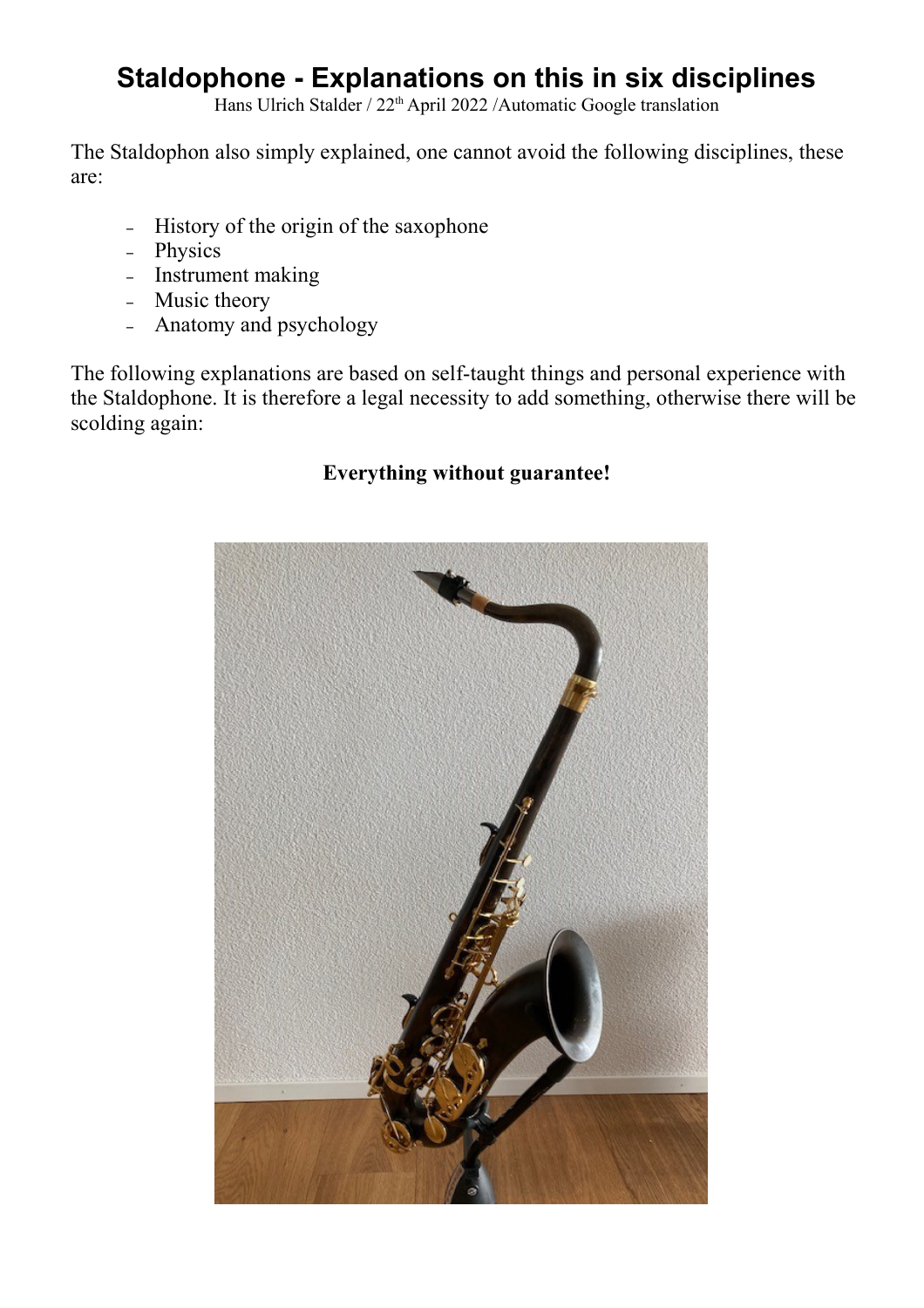# **Staldophone - Explanations on this in six disciplines**

Hans Ulrich Stalder / 22<sup>th</sup> April 2022 /Automatic Google translation

The Staldophon also simply explained, one cannot avoid the following disciplines, these are:

- History of the origin of the saxophone
- Physics
- Instrument making
- Music theory
- Anatomy and psychology

The following explanations are based on self-taught things and personal experience with the Staldophone. It is therefore a legal necessity to add something, otherwise there will be scolding again:

## **Everything without guarantee!**

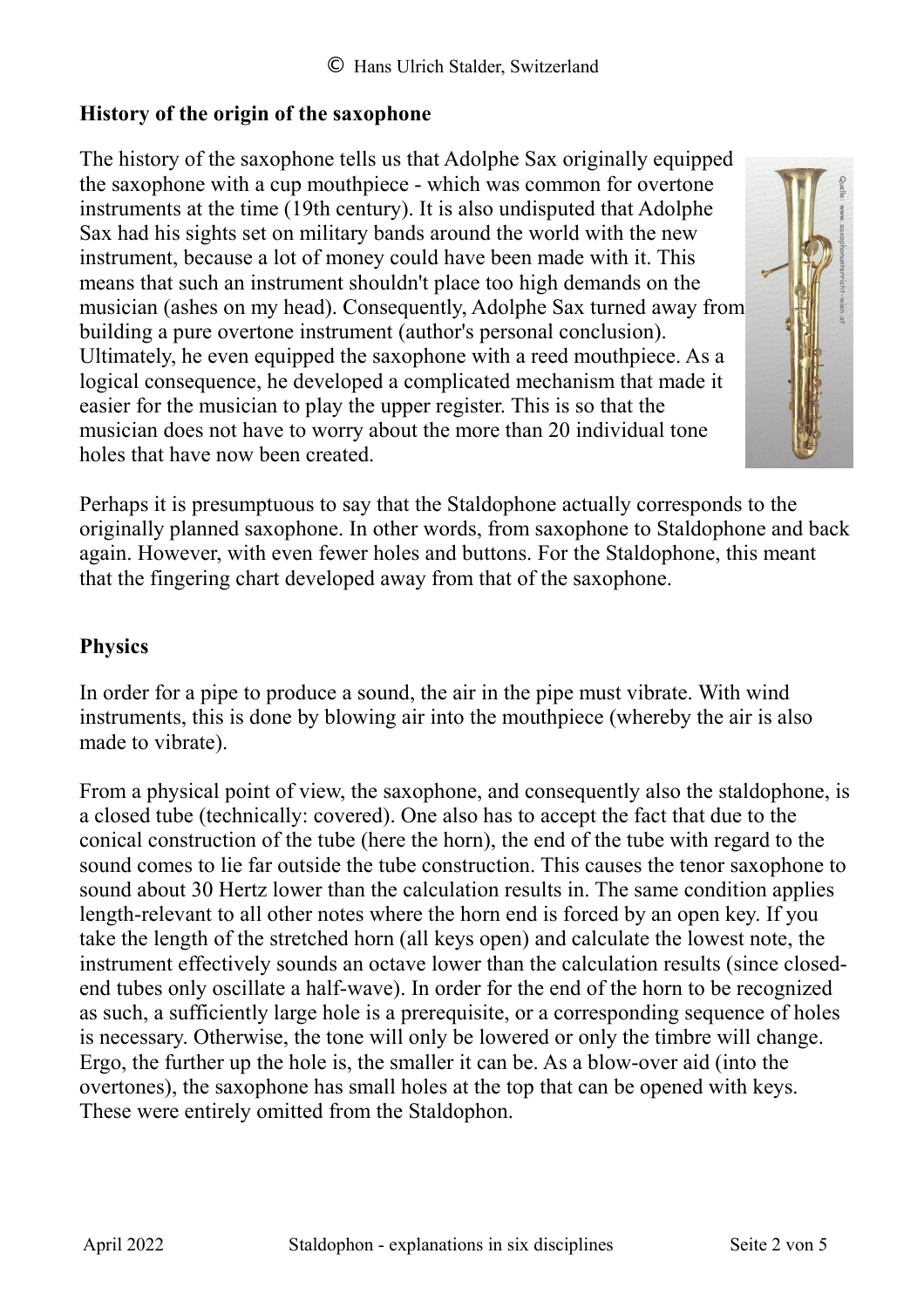## **History of the origin of the saxophone**

The history of the saxophone tells us that Adolphe Sax originally equipped the saxophone with a cup mouthpiece - which was common for overtone instruments at the time (19th century). It is also undisputed that Adolphe Sax had his sights set on military bands around the world with the new instrument, because a lot of money could have been made with it. This means that such an instrument shouldn't place too high demands on the musician (ashes on my head). Consequently, Adolphe Sax turned away from building a pure overtone instrument (author's personal conclusion). Ultimately, he even equipped the saxophone with a reed mouthpiece. As a logical consequence, he developed a complicated mechanism that made it easier for the musician to play the upper register. This is so that the musician does not have to worry about the more than 20 individual tone holes that have now been created.



Perhaps it is presumptuous to say that the Staldophone actually corresponds to the originally planned saxophone. In other words, from saxophone to Staldophone and back again. However, with even fewer holes and buttons. For the Staldophone, this meant that the fingering chart developed away from that of the saxophone.

# **Physics**

In order for a pipe to produce a sound, the air in the pipe must vibrate. With wind instruments, this is done by blowing air into the mouthpiece (whereby the air is also made to vibrate).

From a physical point of view, the saxophone, and consequently also the staldophone, is a closed tube (technically: covered). One also has to accept the fact that due to the conical construction of the tube (here the horn), the end of the tube with regard to the sound comes to lie far outside the tube construction. This causes the tenor saxophone to sound about 30 Hertz lower than the calculation results in. The same condition applies length-relevant to all other notes where the horn end is forced by an open key. If you take the length of the stretched horn (all keys open) and calculate the lowest note, the instrument effectively sounds an octave lower than the calculation results (since closedend tubes only oscillate a half-wave). In order for the end of the horn to be recognized as such, a sufficiently large hole is a prerequisite, or a corresponding sequence of holes is necessary. Otherwise, the tone will only be lowered or only the timbre will change. Ergo, the further up the hole is, the smaller it can be. As a blow-over aid (into the overtones), the saxophone has small holes at the top that can be opened with keys. These were entirely omitted from the Staldophon.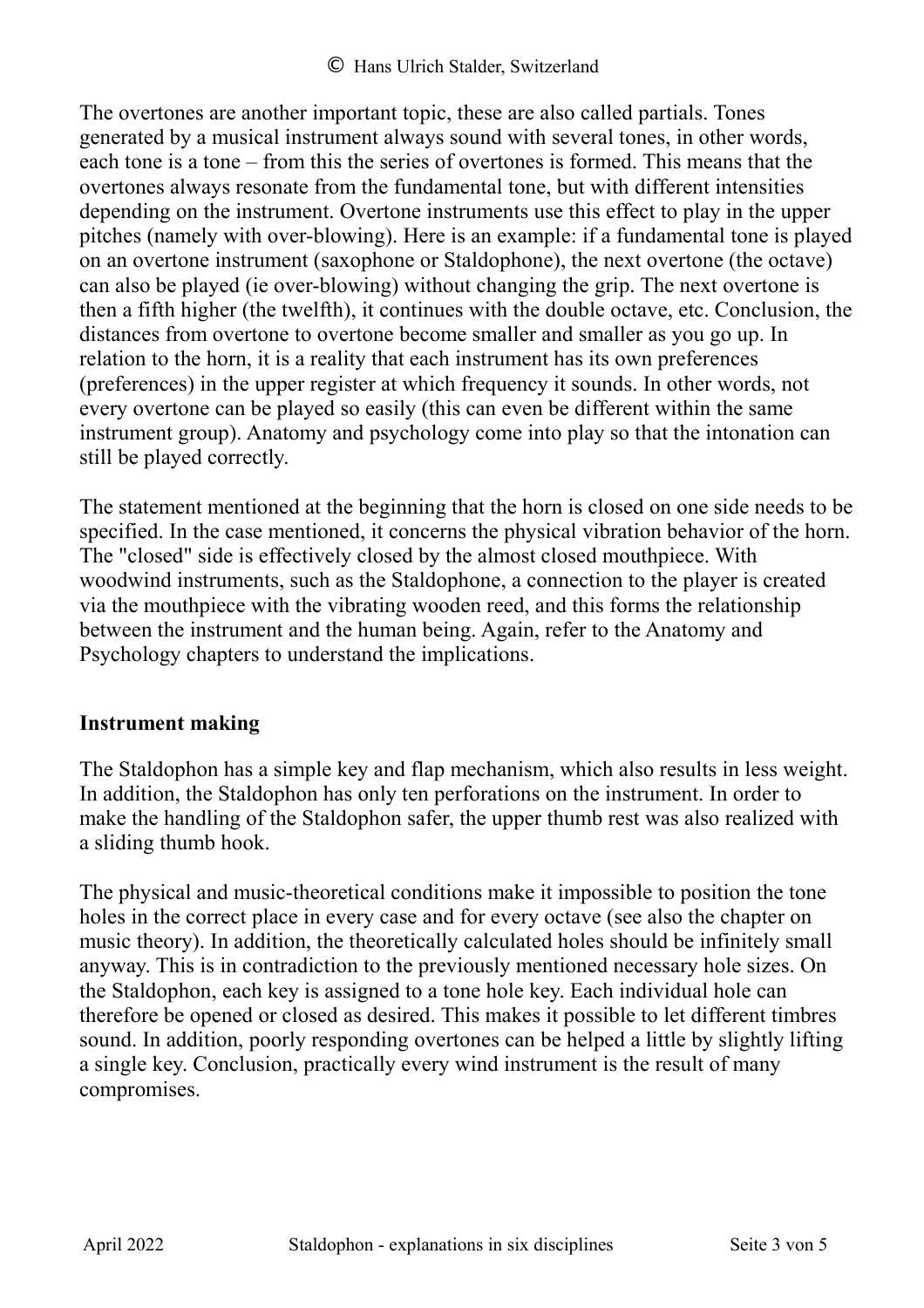The overtones are another important topic, these are also called partials. Tones generated by a musical instrument always sound with several tones, in other words, each tone is a tone – from this the series of overtones is formed. This means that the overtones always resonate from the fundamental tone, but with different intensities depending on the instrument. Overtone instruments use this effect to play in the upper pitches (namely with over-blowing). Here is an example: if a fundamental tone is played on an overtone instrument (saxophone or Staldophone), the next overtone (the octave) can also be played (ie over-blowing) without changing the grip. The next overtone is then a fifth higher (the twelfth), it continues with the double octave, etc. Conclusion, the distances from overtone to overtone become smaller and smaller as you go up. In relation to the horn, it is a reality that each instrument has its own preferences (preferences) in the upper register at which frequency it sounds. In other words, not every overtone can be played so easily (this can even be different within the same instrument group). Anatomy and psychology come into play so that the intonation can still be played correctly.

The statement mentioned at the beginning that the horn is closed on one side needs to be specified. In the case mentioned, it concerns the physical vibration behavior of the horn. The "closed" side is effectively closed by the almost closed mouthpiece. With woodwind instruments, such as the Staldophone, a connection to the player is created via the mouthpiece with the vibrating wooden reed, and this forms the relationship between the instrument and the human being. Again, refer to the Anatomy and Psychology chapters to understand the implications.

#### **Instrument making**

The Staldophon has a simple key and flap mechanism, which also results in less weight. In addition, the Staldophon has only ten perforations on the instrument. In order to make the handling of the Staldophon safer, the upper thumb rest was also realized with a sliding thumb hook.

The physical and music-theoretical conditions make it impossible to position the tone holes in the correct place in every case and for every octave (see also the chapter on music theory). In addition, the theoretically calculated holes should be infinitely small anyway. This is in contradiction to the previously mentioned necessary hole sizes. On the Staldophon, each key is assigned to a tone hole key. Each individual hole can therefore be opened or closed as desired. This makes it possible to let different timbres sound. In addition, poorly responding overtones can be helped a little by slightly lifting a single key. Conclusion, practically every wind instrument is the result of many compromises.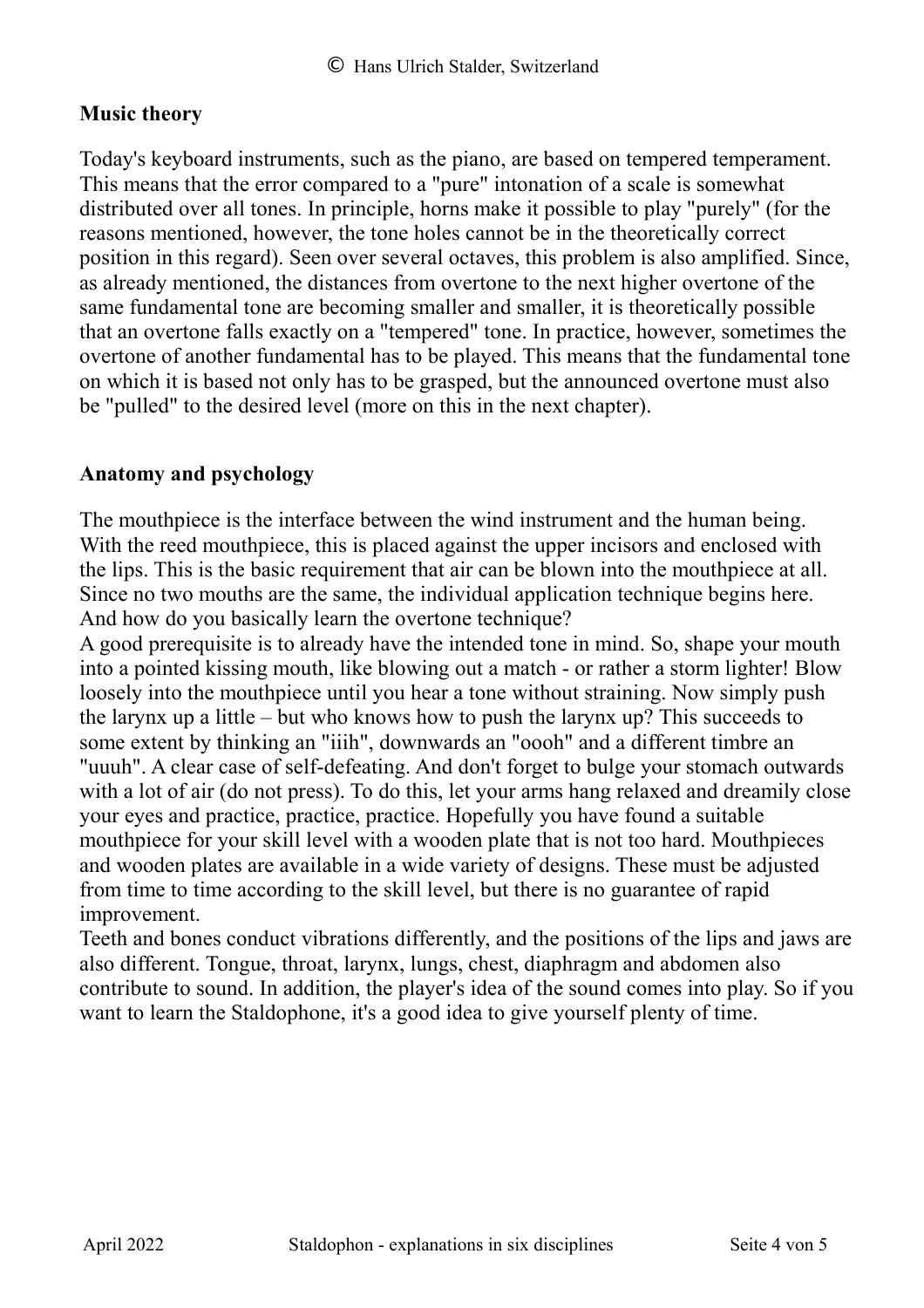#### **Music theory**

Today's keyboard instruments, such as the piano, are based on tempered temperament. This means that the error compared to a "pure" intonation of a scale is somewhat distributed over all tones. In principle, horns make it possible to play "purely" (for the reasons mentioned, however, the tone holes cannot be in the theoretically correct position in this regard). Seen over several octaves, this problem is also amplified. Since, as already mentioned, the distances from overtone to the next higher overtone of the same fundamental tone are becoming smaller and smaller, it is theoretically possible that an overtone falls exactly on a "tempered" tone. In practice, however, sometimes the overtone of another fundamental has to be played. This means that the fundamental tone on which it is based not only has to be grasped, but the announced overtone must also be "pulled" to the desired level (more on this in the next chapter).

#### **Anatomy and psychology**

The mouthpiece is the interface between the wind instrument and the human being. With the reed mouthpiece, this is placed against the upper incisors and enclosed with the lips. This is the basic requirement that air can be blown into the mouthpiece at all. Since no two mouths are the same, the individual application technique begins here. And how do you basically learn the overtone technique?

A good prerequisite is to already have the intended tone in mind. So, shape your mouth into a pointed kissing mouth, like blowing out a match - or rather a storm lighter! Blow loosely into the mouthpiece until you hear a tone without straining. Now simply push the larynx up a little – but who knows how to push the larynx up? This succeeds to some extent by thinking an "iiih", downwards an "oooh" and a different timbre an "uuuh". A clear case of self-defeating. And don't forget to bulge your stomach outwards with a lot of air (do not press). To do this, let your arms hang relaxed and dreamily close your eyes and practice, practice, practice. Hopefully you have found a suitable mouthpiece for your skill level with a wooden plate that is not too hard. Mouthpieces and wooden plates are available in a wide variety of designs. These must be adjusted from time to time according to the skill level, but there is no guarantee of rapid improvement.

Teeth and bones conduct vibrations differently, and the positions of the lips and jaws are also different. Tongue, throat, larynx, lungs, chest, diaphragm and abdomen also contribute to sound. In addition, the player's idea of the sound comes into play. So if you want to learn the Staldophone, it's a good idea to give yourself plenty of time.